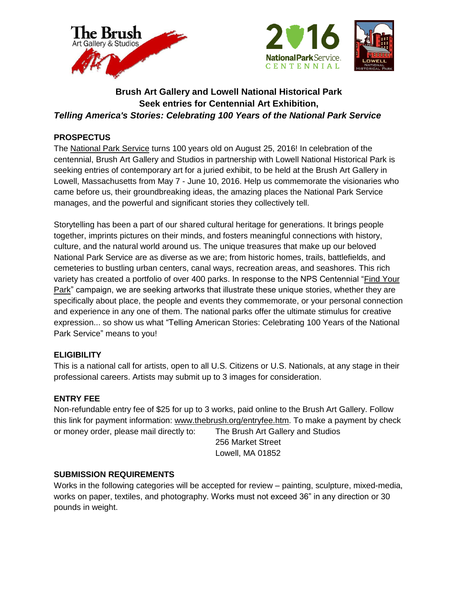



# **Brush Art Gallery and Lowell National Historical Park Seek entries for Centennial Art Exhibition,** *Telling America's Stories: Celebrating 100 Years of the National Park Service*

# **PROSPECTUS**

The [National Park Service](http://www.nps.gov/) turns 100 years old on August 25, 2016! In celebration of the centennial, Brush Art Gallery and Studios in partnership with Lowell National Historical Park is seeking entries of contemporary art for a juried exhibit, to be held at the Brush Art Gallery in Lowell, Massachusetts from May 7 - June 10, 2016. Help us commemorate the visionaries who came before us, their groundbreaking ideas, the amazing places the National Park Service manages, and the powerful and significant stories they collectively tell.

Storytelling has been a part of our shared cultural heritage for generations. It brings people together, imprints pictures on their minds, and fosters meaningful connections with history, culture, and the natural world around us. The unique treasures that make up our beloved National Park Service are as diverse as we are; from historic homes, trails, battlefields, and cemeteries to bustling urban centers, canal ways, recreation areas, and seashores. This rich variety has created a portfolio of over 400 parks. In response to the NPS Centennial ["Find Your](http://findyourpark.com/)  [Park"](http://findyourpark.com/) campaign, we are seeking artworks that illustrate these unique stories, whether they are specifically about place, the people and events they commemorate, or your personal connection and experience in any one of them. The national parks offer the ultimate stimulus for creative expression... so show us what "Telling American Stories: Celebrating 100 Years of the National Park Service" means to you!

## **ELIGIBILITY**

This is a national call for artists, open to all U.S. Citizens or U.S. Nationals, at any stage in their professional careers. Artists may submit up to 3 images for consideration.

# **ENTRY FEE**

Non-refundable entry fee of \$25 for up to 3 works, paid online to the Brush Art Gallery. Follow this link for payment information: [www.thebrush.org/entryfee.htm.](http://www.thebrush.org/entryfee.htm) To make a payment by check or money order, please mail directly to: The Brush Art Gallery and Studios

256 Market Street Lowell, MA 01852

## **SUBMISSION REQUIREMENTS**

Works in the following categories will be accepted for review – painting, sculpture, mixed-media, works on paper, textiles, and photography. Works must not exceed 36" in any direction or 30 pounds in weight.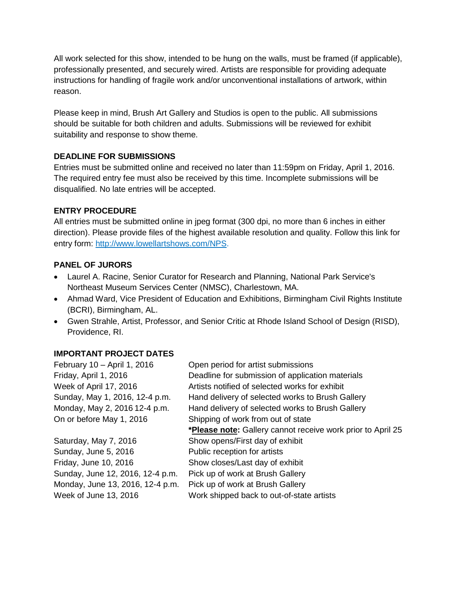All work selected for this show, intended to be hung on the walls, must be framed (if applicable), professionally presented, and securely wired. Artists are responsible for providing adequate instructions for handling of fragile work and/or unconventional installations of artwork, within reason.

Please keep in mind, Brush Art Gallery and Studios is open to the public. All submissions should be suitable for both children and adults. Submissions will be reviewed for exhibit suitability and response to show theme.

#### **DEADLINE FOR SUBMISSIONS**

Entries must be submitted online and received no later than 11:59pm on Friday, April 1, 2016. The required entry fee must also be received by this time. Incomplete submissions will be disqualified. No late entries will be accepted.

#### **ENTRY PROCEDURE**

All entries must be submitted online in jpeg format (300 dpi, no more than 6 inches in either direction). Please provide files of the highest available resolution and quality. Follow this link for entry form: [http://www.lowellartshows.com/NPS.](http://www.lowellartshows.com/NPS)

#### **PANEL OF JURORS**

- Laurel A. Racine, Senior Curator for Research and Planning, National Park Service's Northeast Museum Services Center (NMSC), Charlestown, MA.
- Ahmad Ward, Vice President of Education and Exhibitions, Birmingham Civil Rights Institute (BCRI), Birmingham, AL.
- Gwen Strahle, Artist, Professor, and Senior Critic at Rhode Island School of Design (RISD), Providence, RI.

## **IMPORTANT PROJECT DATES**

| February 10 - April 1, 2016      | Open period for artist submissions                          |
|----------------------------------|-------------------------------------------------------------|
| Friday, April 1, 2016            | Deadline for submission of application materials            |
| Week of April 17, 2016           | Artists notified of selected works for exhibit              |
| Sunday, May 1, 2016, 12-4 p.m.   | Hand delivery of selected works to Brush Gallery            |
| Monday, May 2, 2016 12-4 p.m.    | Hand delivery of selected works to Brush Gallery            |
| On or before May 1, 2016         | Shipping of work from out of state                          |
|                                  | *Please note: Gallery cannot receive work prior to April 25 |
| Saturday, May 7, 2016            | Show opens/First day of exhibit                             |
| Sunday, June 5, 2016             | Public reception for artists                                |
| Friday, June 10, 2016            | Show closes/Last day of exhibit                             |
| Sunday, June 12, 2016, 12-4 p.m. | Pick up of work at Brush Gallery                            |
| Monday, June 13, 2016, 12-4 p.m. | Pick up of work at Brush Gallery                            |
| Week of June 13, 2016            | Work shipped back to out-of-state artists                   |
|                                  |                                                             |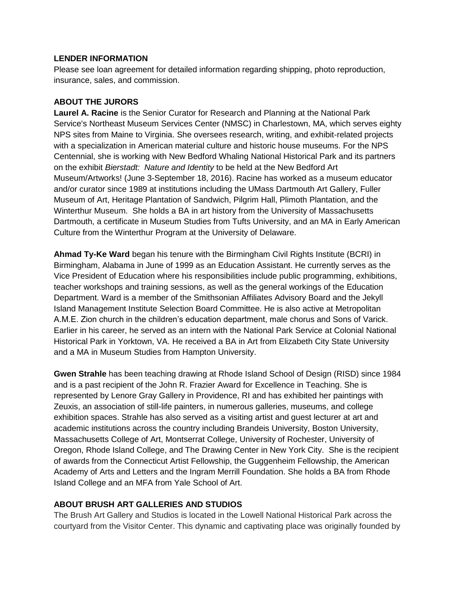#### **LENDER INFORMATION**

Please see loan agreement for detailed information regarding shipping, photo reproduction, insurance, sales, and commission.

# **ABOUT THE JURORS**

**Laurel A. Racine** is the Senior Curator for Research and Planning at the National Park Service's Northeast Museum Services Center (NMSC) in Charlestown, MA, which serves eighty NPS sites from Maine to Virginia. She oversees research, writing, and exhibit-related projects with a specialization in American material culture and historic house museums. For the NPS Centennial, she is working with New Bedford Whaling National Historical Park and its partners on the exhibit *Bierstadt: Nature and Identity* to be held at the New Bedford Art Museum/Artworks! (June 3-September 18, 2016). Racine has worked as a museum educator and/or curator since 1989 at institutions including the UMass Dartmouth Art Gallery, Fuller Museum of Art, Heritage Plantation of Sandwich, Pilgrim Hall, Plimoth Plantation, and the Winterthur Museum. She holds a BA in art history from the University of Massachusetts Dartmouth, a certificate in Museum Studies from Tufts University, and an MA in Early American Culture from the Winterthur Program at the University of Delaware.

**Ahmad Ty-Ke Ward** began his tenure with the Birmingham Civil Rights Institute (BCRI) in Birmingham, Alabama in June of 1999 as an Education Assistant. He currently serves as the Vice President of Education where his responsibilities include public programming, exhibitions, teacher workshops and training sessions, as well as the general workings of the Education Department. Ward is a member of the Smithsonian Affiliates Advisory Board and the Jekyll Island Management Institute Selection Board Committee. He is also active at Metropolitan A.M.E. Zion church in the children's education department, male chorus and Sons of Varick. Earlier in his career, he served as an intern with the National Park Service at Colonial National Historical Park in Yorktown, VA. He received a BA in Art from Elizabeth City State University and a MA in Museum Studies from Hampton University.

**Gwen Strahle** has been teaching drawing at Rhode Island School of Design (RISD) since 1984 and is a past recipient of the John R. Frazier Award for Excellence in Teaching. She is represented by Lenore Gray Gallery in Providence, RI and has exhibited her paintings with Zeuxis, an association of still-life painters, in numerous galleries, museums, and college exhibition spaces. Strahle has also served as a visiting artist and guest lecturer at art and academic institutions across the country including Brandeis University, Boston University, Massachusetts College of Art, Montserrat College, University of Rochester, University of Oregon, Rhode Island College, and The Drawing Center in New York City. She is the recipient of awards from the Connecticut Artist Fellowship, the Guggenheim Fellowship, the American Academy of Arts and Letters and the Ingram Merrill Foundation. She holds a BA from Rhode Island College and an MFA from Yale School of Art.

## **ABOUT BRUSH ART GALLERIES AND STUDIOS**

The Brush Art Gallery and Studios is located in the Lowell National Historical Park across the courtyard from the Visitor Center. This dynamic and captivating place was originally founded by